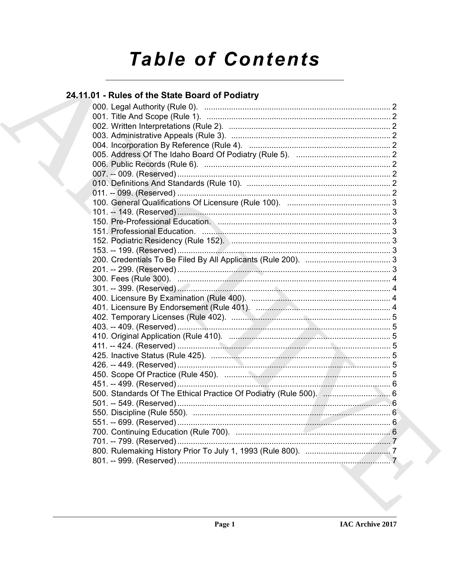# **Table of Contents**

# 24.11.01 - Rules of the State Board of Podiatry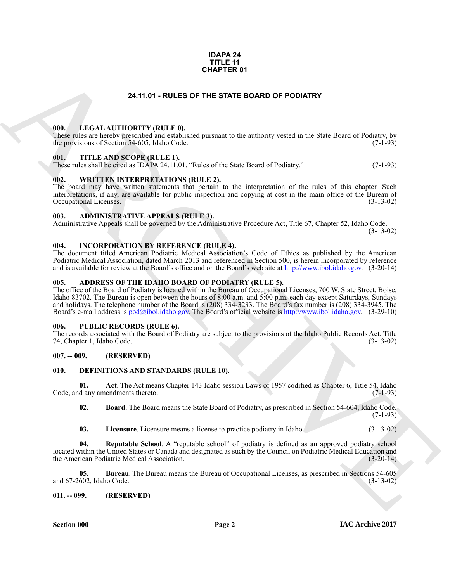#### **IDAPA 24 TITLE 11 CHAPTER 01**

#### **24.11.01 - RULES OF THE STATE BOARD OF PODIATRY**

#### <span id="page-1-1"></span><span id="page-1-0"></span>**000. LEGAL AUTHORITY (RULE 0).**

These rules are hereby prescribed and established pursuant to the authority vested in the State Board of Podiatry, by the provisions of Section 54-605, Idaho Code. (7-1-93) the provisions of Section 54-605, Idaho Code.

#### <span id="page-1-2"></span>**001. TITLE AND SCOPE (RULE 1).**

These rules shall be cited as IDAPA 24.11.01, "Rules of the State Board of Podiatry." (7-1-93)

#### <span id="page-1-3"></span>**002. WRITTEN INTERPRETATIONS (RULE 2).**

The board may have written statements that pertain to the interpretation of the rules of this chapter. Such interpretations, if any, are available for public inspection and copying at cost in the main office of the Bureau of Occupational Licenses. (3-13-02) Occupational Licenses.

#### <span id="page-1-4"></span>**003. ADMINISTRATIVE APPEALS (RULE 3).**

Administrative Appeals shall be governed by the Administrative Procedure Act, Title 67, Chapter 52, Idaho Code.

(3-13-02)

#### <span id="page-1-5"></span>**004. INCORPORATION BY REFERENCE (RULE 4).**

The document titled American Podiatric Medical Association's Code of Ethics as published by the American Podiatric Medical Association, dated March 2013 and referenced in Section 500, is herein incorporated by reference and is available for review at the Board's office and on the Board's web site at http://www.ibol.idaho.gov. (3-20-14)

#### <span id="page-1-6"></span>**005. ADDRESS OF THE IDAHO BOARD OF PODIATRY (RULE 5).**

**CHAPTER 01**<br> **CHARC[HI](http://www.ibol.idaho.gov)VE CONDUCTS** (EXECUTED SOME OF PODATRY<br>
1990. LECAL AUTHORITY (BULLE B)<br>
1990. THE ANB SCOPE (BELLE B)<br>
1991. THE ANB SCOPE (BELLE B).<br>
1991. AUTHER AND SCOPE (BELLE B).<br>
1991. THE ANB SCOPE (BELLE B The office of the Board of Podiatry is located within the Bureau of Occupational Licenses, 700 W. State Street, Boise, Idaho 83702. The Bureau is open between the hours of 8:00 a.m. and 5:00 p.m. each day except Saturdays, Sundays and holidays. The telephone number of the Board is (208) 334-3233. The Board's fax number is (208) 334-3945. The Board's e-mail address is pod@ibol.idaho.gov. The Board's official website is http://www.ibol.idaho.gov. (3-29-10)

#### <span id="page-1-7"></span>**006. PUBLIC RECORDS (RULE 6).**

The records associated with the Board of Podiatry are subject to the provisions of the Idaho Public Records Act. Title 74, Chapter 1, Idaho Code. (3-13-02) 74, Chapter 1, Idaho Code.

#### <span id="page-1-8"></span>**007. -- 009. (RESERVED)**

#### <span id="page-1-11"></span><span id="page-1-9"></span>**010. DEFINITIONS AND STANDARDS (RULE 10).**

**01.** Act. The Act means Chapter 143 Idaho session Laws of 1957 codified as Chapter 6, Title 54, Idaho d any amendments thereto. (7-1-93) Code, and any amendments thereto.

<span id="page-1-13"></span><span id="page-1-12"></span>**02. Board**. The Board means the State Board of Podiatry, as prescribed in Section 54-604, Idaho Code. (7-1-93)

<span id="page-1-16"></span><span id="page-1-15"></span><span id="page-1-14"></span>**03. Licensure**. Licensure means a license to practice podiatry in Idaho. (3-13-02)

**04. Reputable School**. A "reputable school" of podiatry is defined as an approved podiatry school located within the United States or Canada and designated as such by the Council on Podiatric Medical Education and the American Podiatric Medical Association. (3-20-14)

**05. Bureau**. The Bureau means the Bureau of Occupational Licenses, as prescribed in Sections 54-605 602, Idaho Code. (3-13-02) and 67-2602, Idaho Code.

#### <span id="page-1-10"></span>**011. -- 099. (RESERVED)**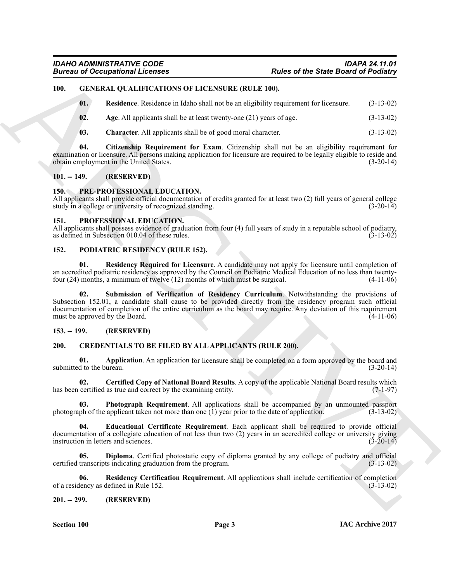#### <span id="page-2-0"></span>**100. GENERAL QUALIFICATIONS OF LICENSURE (RULE 100).**

<span id="page-2-19"></span><span id="page-2-15"></span>**01. Residence**. Residence in Idaho shall not be an eligibility requirement for licensure. (3-13-02)

- <span id="page-2-16"></span>**02.** Age. All applicants shall be at least twenty-one (21) years of age.  $(3-13-02)$
- <span id="page-2-18"></span><span id="page-2-17"></span>**03. Character**. All applicants shall be of good moral character. (3-13-02)

**04. Citizenship Requirement for Exam**. Citizenship shall not be an eligibility requirement for examination or licensure. All persons making application for licensure are required to be legally eligible to reside and obtain employment in the United States.  $\begin{bmatrix} 1 & 1 \\ 1 & 1 \end{bmatrix}$  (3-20-14)

#### <span id="page-2-1"></span>**101. -- 149. (RESERVED)**

#### <span id="page-2-23"></span><span id="page-2-2"></span>**150. PRE-PROFESSIONAL EDUCATION.**

All applicants shall provide official documentation of credits granted for at least two (2) full years of general college study in a college or university of recognized standing. (3-20-14) study in a college or university of recognized standing.

#### <span id="page-2-24"></span><span id="page-2-3"></span>**151. PROFESSIONAL EDUCATION.**

All applicants shall possess evidence of graduation from four (4) full years of study in a reputable school of podiatry, as defined in Subsection 010.04 of these rules. (3-13-02) as defined in Subsection 010.04 of these rules.

#### <span id="page-2-20"></span><span id="page-2-4"></span>**152. PODIATRIC RESIDENCY (RULE 152).**

<span id="page-2-22"></span><span id="page-2-21"></span>**01. Residency Required for Licensure**. A candidate may not apply for licensure until completion of an accredited podiatric residency as approved by the Council on Podiatric Medical Education of no less than twenty-<br>four (24) months, a minimum of twelve (12) months of which must be surgical. (4-11-06) four  $(24)$  months, a minimum of twelve  $(12)$  months of which must be surgical.

Forces of Decorational Licensies<br>
19. Explore of the Stark Basine's Federal Value of the Stark Basine's Federal Value of the Stark Basine's Federal Value of the Stark Basine's Federal Value of the Stark David (11.14.142)<br> Submission of Verification of Residency Curriculum. Notwithstanding the provisions of Subsection 152.01, a candidate shall cause to be provided directly from the residency program such official documentation of completion of the entire curriculum as the board may require. Any deviation of this requirement must be approved by the Board. (4-11-06) must be approved by the Board.

#### <span id="page-2-5"></span>**153. -- 199. (RESERVED)**

#### <span id="page-2-8"></span><span id="page-2-6"></span>**200. CREDENTIALS TO BE FILED BY ALL APPLICANTS (RULE 200).**

<span id="page-2-9"></span>**01. Application**. An application for licensure shall be completed on a form approved by the board and submitted to the bureau. (3-20-14)

<span id="page-2-10"></span>**02. Certified Copy of National Board Results**. A copy of the applicable National Board results which has been certified as true and correct by the examining entity. (7-1-97)

<span id="page-2-13"></span>**03. Photograph Requirement**. All applications shall be accompanied by an unmounted passport ph of the applicant taken not more than one (1) year prior to the date of application. (3-13-02) photograph of the applicant taken not more than one  $(1)$  year prior to the date of application.

<span id="page-2-12"></span>**04. Educational Certificate Requirement**. Each applicant shall be required to provide official documentation of a collegiate education of not less than two (2) years in an accredited college or university giving instruction in letters and sciences. (3-20-14) instruction in letters and sciences.

<span id="page-2-11"></span>**05. Diploma**. Certified photostatic copy of diploma granted by any college of podiatry and official certified transcripts indicating graduation from the program. (3-13-02)

<span id="page-2-14"></span>**06. Residency Certification Requirement**. All applications shall include certification of completion lency as defined in Rule 152. of a residency as defined in Rule 152.

#### <span id="page-2-7"></span>**201. -- 299. (RESERVED)**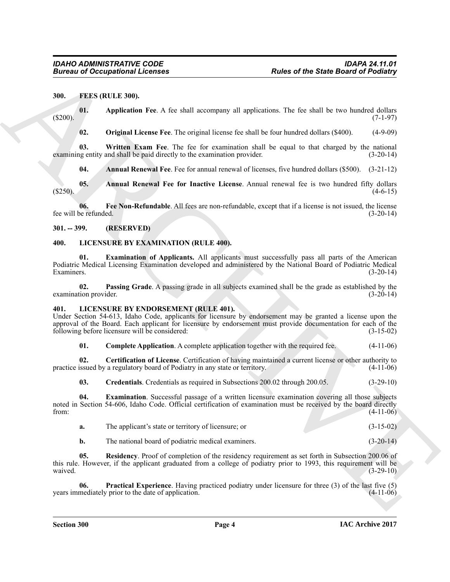#### <span id="page-3-4"></span><span id="page-3-0"></span>**300. FEES (RULE 300).**

**01. Application Fee**. A fee shall accompany all applications. The fee shall be two hundred dollars  $(5200)$ . (5200).

<span id="page-3-10"></span><span id="page-3-9"></span><span id="page-3-7"></span>**02. Original License Fee**. The original license fee shall be four hundred dollars (\$400). (4-9-09)

**03. Written Exam Fee**. The fee for examination shall be equal to that charged by the national examining entity and shall be paid directly to the examination provider. (3-20-14)

<span id="page-3-8"></span><span id="page-3-6"></span><span id="page-3-5"></span>**04. Annual Renewal Fee**. Fee for annual renewal of licenses, five hundred dollars (\$500). (3-21-12)

**05. Annual Renewal Fee for Inactive License**. Annual renewal fee is two hundred fifty dollars  $(4-6-15)$ 

**06.** Fee Non-Refundable. All fees are non-refundable, except that if a license is not issued, the license perfunded. (3-20-14) fee will be refunded.

<span id="page-3-1"></span>**301. -- 399. (RESERVED)**

#### <span id="page-3-18"></span><span id="page-3-2"></span>**400. LICENSURE BY EXAMINATION (RULE 400).**

<span id="page-3-19"></span>**01. Examination of Applicants.** All applicants must successfully pass all parts of the American Podiatric Medical Licensing Examination developed and administered by the National Board of Podiatric Medical Examiners. (3-20-14)

<span id="page-3-20"></span>**02. Passing Grade**. A passing grade in all subjects examined shall be the grade as established by the examination provider.

#### <span id="page-3-11"></span><span id="page-3-3"></span>**401. LICENSURE BY ENDORSEMENT (RULE 401).**

Under Section 54-613, Idaho Code, applicants for licensure by endorsement may be granted a license upon the approval of the Board. Each applicant for licensure by endorsement must provide documentation for each of the following before licensure will be considered: (3-15-02)

<span id="page-3-13"></span><span id="page-3-12"></span>**01.** Complete Application. A complete application together with the required fee.  $(4-11-06)$ 

**02. Certification of License**. Certification of having maintained a current license or other authority to issued by a regulatory board of Podiatry in any state or territory. (4-11-06) practice issued by a regulatory board of Podiatry in any state or territory.

<span id="page-3-15"></span><span id="page-3-14"></span>**03. Credentials**. Credentials as required in Subsections 200.02 through 200.05. (3-29-10)

Forces of Occupational Licenses<br>
Multi 2001, Contained Free A lice shall recompany all applications. The Toy shall be too minicipal distributions<br>
(S2010, Application Free A lice shall recompany all applications. The Toy **04. Examination**. Successful passage of a written licensure examination covering all those subjects noted in Section 54-606, Idaho Code. Official certification of examination must be received by the board directly from: (4-11-06) from:  $(4-11-06)$ 

|  | The applicant's state or territory of licensure; or |  | $(3-15-02)$ |
|--|-----------------------------------------------------|--|-------------|
|--|-----------------------------------------------------|--|-------------|

<span id="page-3-17"></span><span id="page-3-16"></span>**b.** The national board of podiatric medical examiners. (3-20-14)

**05. Residency**. Proof of completion of the residency requirement as set forth in Subsection 200.06 of this rule. However, if the applicant graduated from a college of podiatry prior to 1993, this requirement will be waived. (3-29-10) waived.  $(3-29-10)$ 

**06. Practical Experience**. Having practiced podiatry under licensure for three (3) of the last five (5) years immediately prior to the date of application.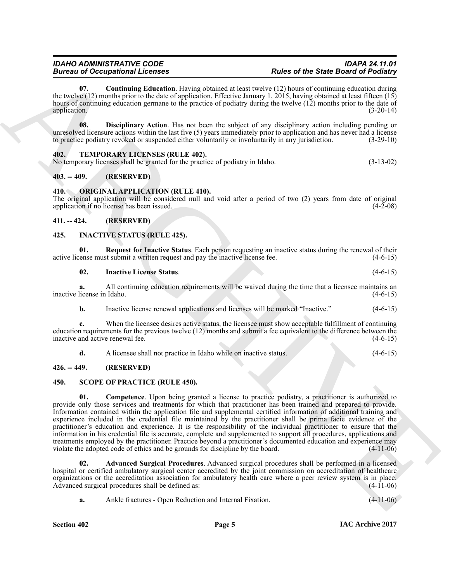<span id="page-4-10"></span>**07. Continuing Education**. Having obtained at least twelve (12) hours of continuing education during the twelve (12) months prior to the date of application. Effective January 1, 2015, having obtained at least fifteen (15) hours of continuing education germane to the practice of podiatry during the twelve (12) months prior to the date of application. (3-20-14) application. (3-20-14)

<span id="page-4-11"></span>**08. Disciplinary Action**. Has not been the subject of any disciplinary action including pending or unresolved licensure actions within the last five (5) years immediately prior to application and has never had a license to practice podiatry revoked or suspended either voluntarily or involuntarily in any jurisdiction. (3-29-10)

#### <span id="page-4-16"></span><span id="page-4-0"></span>**402. TEMPORARY LICENSES (RULE 402).**

No temporary licenses shall be granted for the practice of podiatry in Idaho. (3-13-02)

#### <span id="page-4-1"></span>**403. -- 409. (RESERVED)**

#### <span id="page-4-12"></span><span id="page-4-2"></span>**410. ORIGINAL APPLICATION (RULE 410).**

The original application will be considered null and void after a period of two (2) years from date of original application if no license has been issued. application if no license has been issued.

#### <span id="page-4-3"></span>**411. -- 424. (RESERVED)**

#### <span id="page-4-7"></span><span id="page-4-4"></span>**425. INACTIVE STATUS (RULE 425).**

**01.** Request for Inactive Status. Each person requesting an inactive status during the renewal of their ense must submit a written request and pay the inactive license fee.  $(4-6-15)$ active license must submit a written request and pay the inactive license fee.

#### <span id="page-4-9"></span><span id="page-4-8"></span>**02. Inactive License Status**. (4-6-15)

**a.** All continuing education requirements will be waived during the time that a licensee maintains an license in Idaho. (4-6-15) inactive license in Idaho.

**b.** Inactive license renewal applications and licenses will be marked "Inactive." (4-6-15)

**c.** When the licensee desires active status, the licensee must show acceptable fulfillment of continuing education requirements for the previous twelve (12) months and submit a fee equivalent to the difference between the inactive and active renewal fee.

<span id="page-4-15"></span><span id="page-4-13"></span>**d.** A licensee shall not practice in Idaho while on inactive status. (4-6-15)

### <span id="page-4-5"></span>**426. -- 449. (RESERVED)**

#### <span id="page-4-6"></span>**450. SCOPE OF PRACTICE (RULE 450).**

Bureau of Comparison in the control of the state of the state Barbara (and the state of the state Barbara (a)  $R_{\text{H}}$  (a)  $R_{\text{H}}$  (a)  $R_{\text{H}}$  (a)  $R_{\text{H}}$  (a)  $R_{\text{H}}$  (a)  $R_{\text{H}}$  (a)  $R_{\text{H}}$  (a)  $R_{\text{H}}$  (a) **01. Competence**. Upon being granted a license to practice podiatry, a practitioner is authorized to provide only those services and treatments for which that practitioner has been trained and prepared to provide. Information contained within the application file and supplemental certified information of additional training and experience included in the credential file maintained by the practitioner shall be prima facie evidence of the practitioner's education and experience. It is the responsibility of the individual practitioner to ensure that the information in his credential file is accurate, complete and supplemented to support all procedures, applications and treatments employed by the practitioner. Practice beyond a practitioner's documented education and experience may<br>violate the adopted code of ethics and be grounds for discipline by the board. (4-11-06) violate the adopted code of ethics and be grounds for discipline by the board.

**02. Advanced Surgical Procedures**. Advanced surgical procedures shall be performed in a licensed hospital or certified ambulatory surgical center accredited by the joint commission on accreditation of healthcare organizations or the accreditation association for ambulatory health care where a peer review system is in place.<br>Advanced surgical procedures shall be defined as: (4-11-06) Advanced surgical procedures shall be defined as:

<span id="page-4-14"></span>**a.** Ankle fractures - Open Reduction and Internal Fixation. (4-11-06) **a.** (4-11-06)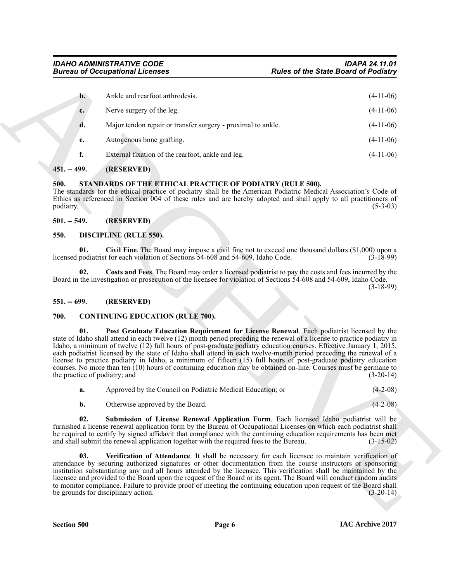|                   |                | <b>Bureau of Occupational Licenses</b>                                                                                                                                                                                                                                                                                                                                                                                                                                                                                                                                                                                                                                                                                                  | <b>Rules of the State Board of Podiatry</b> |
|-------------------|----------------|-----------------------------------------------------------------------------------------------------------------------------------------------------------------------------------------------------------------------------------------------------------------------------------------------------------------------------------------------------------------------------------------------------------------------------------------------------------------------------------------------------------------------------------------------------------------------------------------------------------------------------------------------------------------------------------------------------------------------------------------|---------------------------------------------|
|                   | $\mathbf{b}$ . | Ankle and rearfoot arthrodesis.                                                                                                                                                                                                                                                                                                                                                                                                                                                                                                                                                                                                                                                                                                         | $(4-11-06)$                                 |
|                   | c.             | Nerve surgery of the leg.                                                                                                                                                                                                                                                                                                                                                                                                                                                                                                                                                                                                                                                                                                               | $(4-11-06)$                                 |
|                   | d.             | Major tendon repair or transfer surgery - proximal to ankle.                                                                                                                                                                                                                                                                                                                                                                                                                                                                                                                                                                                                                                                                            | $(4-11-06)$                                 |
|                   | e.             | Autogenous bone grafting.                                                                                                                                                                                                                                                                                                                                                                                                                                                                                                                                                                                                                                                                                                               | $(4-11-06)$                                 |
|                   | f.             | External fixation of the rearfoot, ankle and leg.                                                                                                                                                                                                                                                                                                                                                                                                                                                                                                                                                                                                                                                                                       | $(4-11-06)$                                 |
| $451. - 499.$     |                | (RESERVED)                                                                                                                                                                                                                                                                                                                                                                                                                                                                                                                                                                                                                                                                                                                              |                                             |
| 500.<br>podiatry. |                | STANDARDS OF THE ETHICAL PRACTICE OF PODIATRY (RULE 500).<br>The standards for the ethical practice of podiatry shall be the American Podiatric Medical Association's Code of<br>Ethics as referenced in Section 004 of these rules and are hereby adopted and shall apply to all practitioners of                                                                                                                                                                                                                                                                                                                                                                                                                                      | $(5-3-03)$                                  |
| $501. - 549.$     |                | (RESERVED)                                                                                                                                                                                                                                                                                                                                                                                                                                                                                                                                                                                                                                                                                                                              |                                             |
| 550.              |                | <b>DISCIPLINE (RULE 550).</b>                                                                                                                                                                                                                                                                                                                                                                                                                                                                                                                                                                                                                                                                                                           |                                             |
|                   | 01.            | Civil Fine. The Board may impose a civil fine not to exceed one thousand dollars $(\$1,000)$ upon a<br>licensed podiatrist for each violation of Sections 54-608 and 54-609, Idaho Code.                                                                                                                                                                                                                                                                                                                                                                                                                                                                                                                                                | $(3-18-99)$                                 |
|                   | 02.            | Costs and Fees. The Board may order a licensed podiatrist to pay the costs and fees incurred by the<br>Board in the investigation or prosecution of the licensee for violation of Sections 54-608 and 54-609, Idaho Code.                                                                                                                                                                                                                                                                                                                                                                                                                                                                                                               | $(3-18-99)$                                 |
| $551. - 699.$     |                | (RESERVED)                                                                                                                                                                                                                                                                                                                                                                                                                                                                                                                                                                                                                                                                                                                              |                                             |
| 700.              |                | <b>CONTINUING EDUCATION (RULE 700).</b>                                                                                                                                                                                                                                                                                                                                                                                                                                                                                                                                                                                                                                                                                                 |                                             |
|                   | 01.            | Post Graduate Education Requirement for License Renewal. Each podiatrist licensed by the<br>state of Idaho shall attend in each twelve (12) month period preceding the renewal of a license to practice podiatry in<br>Idaho, a minimum of twelve (12) full hours of post-graduate podiatry education courses. Effective January 1, 2015,<br>each podiatrist licensed by the state of Idaho shall attend in each twelve-month period preceding the renewal of a<br>license to practice podiatry in Idaho, a minimum of fifteen (15) full hours of post-graduate podiatry education<br>courses. No more than ten (10) hours of continuing education may be obtained on-line. Courses must be germane to<br>the practice of podiatry; and | $(3-20-14)$                                 |
|                   | a.             | Approved by the Council on Podiatric Medical Education; or                                                                                                                                                                                                                                                                                                                                                                                                                                                                                                                                                                                                                                                                              | $(4-2-08)$                                  |
|                   | b.             | Otherwise approved by the Board.                                                                                                                                                                                                                                                                                                                                                                                                                                                                                                                                                                                                                                                                                                        | $(4-2-08)$                                  |
|                   | 02.            | Submission of License Renewal Application Form. Each licensed Idaho podiatrist will be<br>furnished a license renewal application form by the Bureau of Occupational Licenses on which each podiatrist shall<br>be required to certify by signed affidavit that compliance with the continuing education requirements has been met<br>and shall submit the renewal application together with the required fees to the Bureau.                                                                                                                                                                                                                                                                                                           | $(3-15-02)$                                 |
|                   | 03.            | Verification of Attendance. It shall be necessary for each licensee to maintain verification of<br>attendance by securing authorized signatures or other documentation from the course instructors or sponsoring<br>institution substantiating any and all hours attended by the licensee. This verification shall be maintained by the<br>licensee and provided to the Board upon the request of the Board or its agent. The Board will conduct random audits<br>to monitor compliance. Failure to provide proof of meeting the continuing education upon request of the Board shall<br>be grounds for disciplinary action.                                                                                                            | $(3-20-14)$                                 |
|                   |                |                                                                                                                                                                                                                                                                                                                                                                                                                                                                                                                                                                                                                                                                                                                                         |                                             |

#### <span id="page-5-0"></span>**451. -- 499. (RESERVED)**

#### <span id="page-5-13"></span><span id="page-5-1"></span>**500. STANDARDS OF THE ETHICAL PRACTICE OF PODIATRY (RULE 500).**

#### <span id="page-5-12"></span><span id="page-5-11"></span><span id="page-5-10"></span><span id="page-5-3"></span><span id="page-5-2"></span>**550. DISCIPLINE (RULE 550).**

#### <span id="page-5-4"></span>**551. -- 699. (RESERVED)**

#### <span id="page-5-7"></span><span id="page-5-6"></span><span id="page-5-5"></span>**700. CONTINUING EDUCATION (RULE 700).**

<span id="page-5-9"></span><span id="page-5-8"></span>

| a. | Approved by the Council on Podiatric Medical Education; or |  |  | $(4-2-08)$ |  |
|----|------------------------------------------------------------|--|--|------------|--|
|----|------------------------------------------------------------|--|--|------------|--|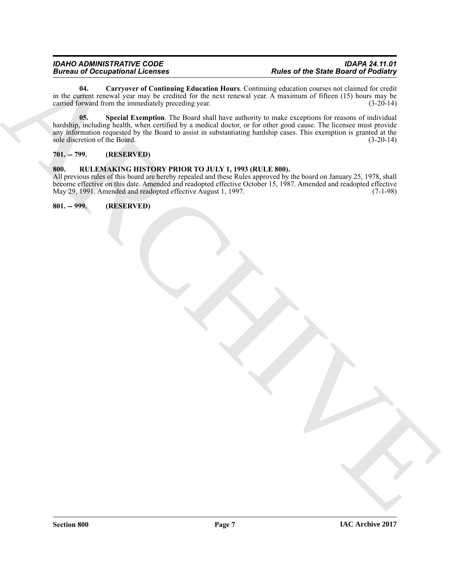<span id="page-6-4"></span><span id="page-6-3"></span>**04. Carryover of Continuing Education Hours**. Continuing education courses not claimed for credit in the current renewal year may be credited for the next renewal year. A maximum of fifteen (15) hours may be carried forward from the immediately preceding year. carried forward from the immediately preceding year.

Bureau of Occupation at Level of the state of the State Barriot of Red Earth of the State Barriot of Red Earth<br>
at the solid subset of the control of the state and the state of the state and of the solid subset of the sol **05. Special Exemption**. The Board shall have authority to make exceptions for reasons of individual hardship, including health, when certified by a medical doctor, or for other good cause. The licensee must provide any information requested by the Board to assist in substantiating hardship cases. This exemption is granted at the sole discretion of the Board. (3-20-14) sole discretion of the Board.

#### <span id="page-6-0"></span>**701. -- 799. (RESERVED)**

### <span id="page-6-1"></span>**800. RULEMAKING HISTORY PRIOR TO JULY 1, 1993 (RULE 800).**

All previous rules of this board are hereby repealed and these Rules approved by the board on January 25, 1978, shall become effective on this date. Amended and readopted effective October 15, 1987. Amended and readopted effective May 29, 1991. Amended and readopted effective August 1, 1997. (7-1-98)

<span id="page-6-2"></span>**801. -- 999. (RESERVED)**